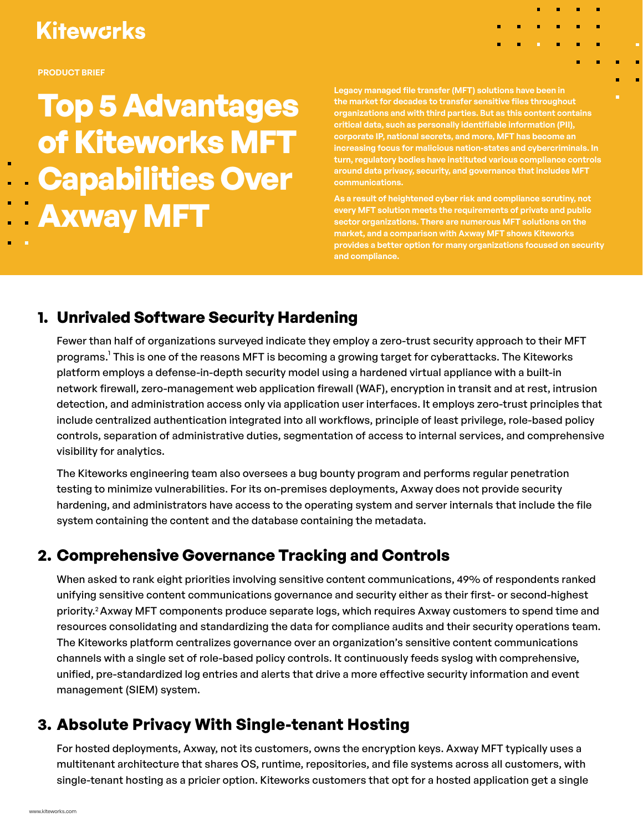# **Kitewcrks**

**PRODUCT BRIEF**

**Top 5 Advantages of Kiteworks MFT Capabilities Over Axway MFT** 

**Legacy managed file transfer (MFT) solutions have been in the market for decades to transfer sensitive files throughout organizations and with third parties. But as this content contains critical data, such as personally identifiable information (PII), corporate IP, national secrets, and more, MFT has become an increasing focus for malicious nation-states and cybercriminals. In turn, regulatory bodies have instituted various compliance controls around data privacy, security, and governance that includes MFT communications.**

ä, r.

**As a result of heightened cyber risk and compliance scrutiny, not every MFT solution meets the requirements of private and public sector organizations. There are numerous MFT solutions on the market, and a comparison with Axway MFT shows Kiteworks provides a better option for many organizations focused on security and compliance.**

## **1. Unrivaled Software Security Hardening**

Fewer than half of organizations surveyed indicate they employ a zero-trust security approach to their MFT programs.<sup>1</sup> This is one of the reasons MFT is becoming a growing target for cyberattacks. The Kiteworks platform employs a defense-in-depth security model using a hardened virtual appliance with a built-in network firewall, zero-management web application firewall (WAF), encryption in transit and at rest, intrusion detection, and administration access only via application user interfaces. It employs zero-trust principles that include centralized authentication integrated into all workflows, principle of least privilege, role-based policy controls, separation of administrative duties, segmentation of access to internal services, and comprehensive visibility for analytics.

The Kiteworks engineering team also oversees a bug bounty program and performs regular penetration testing to minimize vulnerabilities. For its on-premises deployments, Axway does not provide security hardening, and administrators have access to the operating system and server internals that include the file system containing the content and the database containing the metadata.

## **2. Comprehensive Governance Tracking and Controls**

When asked to rank eight priorities involving sensitive content communications, 49% of respondents ranked unifying sensitive content communications governance and security either as their first- or second-highest priority.2 Axway MFT components produce separate logs, which requires Axway customers to spend time and resources consolidating and standardizing the data for compliance audits and their security operations team. The Kiteworks platform centralizes governance over an organization's sensitive content communications channels with a single set of role-based policy controls. It continuously feeds syslog with comprehensive, unified, pre-standardized log entries and alerts that drive a more effective security information and event management (SIEM) system.

## **3. Absolute Privacy With Single-tenant Hosting**

For hosted deployments, Axway, not its customers, owns the encryption keys. Axway MFT typically uses a multitenant architecture that shares OS, runtime, repositories, and file systems across all customers, with single-tenant hosting as a pricier option. Kiteworks customers that opt for a hosted application get a single